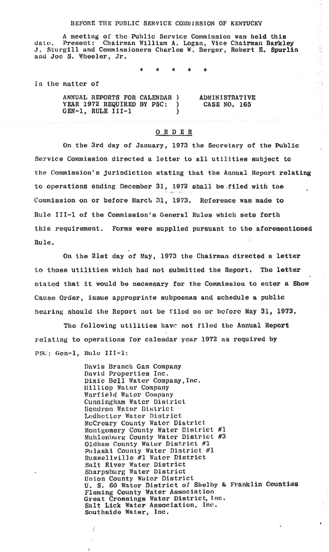## BEFORE THE PUBLIC SERVICE COMMISSION OF KENTUCKY

A meeting of the Public Service Commission was held this date, Present: Chairman William A. Logan, Vice Chairman Barkley<br>J. Sturgill and Commissioners Charles W. Berger, Robert E. Spurlin and Joe S. Wheeler, Jr.

 $\frac{d}{dt} \sigma_t$ 

 $\epsilon$ 

In the matter of

ANNUAL REPORTS FOR CALENDAR ) **ADMINISTRATIVE** YEAR 1972 REQUIRED BY PSC: ١. CASE NO. 165 GEN-1, RULE III-1  $\lambda$ 

## ORDER

On the 3rd day of January, 1973 the Secretary of the Public Service Commission directed a letter to all utilities subject to the Commission's jurisdiction stating that the Annual Report relating to operations ending December 31, 1972 shall be filed with the Commission on or before March 31, 1973. Reference was made to Rule III-1 of the Commission's General Rules which sets forth this requirement. Forms were supplied pursuant to the aforementioned Rule.

On the 21st day of May, 1973 the Chairman directed a letter to those utilities which had not submitted the Report. The letter stated that it would be necessary for the Commission to enter a Show Cause Order, issue approprinte subpoenas and schedule a public hearing should the Report not be filed on or before May 31, 1973.

The following utilities have not filed the Annual Report relating to operations for calendar year 1972 as required by PSC; Gen-1, Rule III-1:

1

Davis Branch Gas Company David Properties Inc. Dixie Bell Water Company, Inc. **Hillton Water Company** Warfield Water Company Cunningham Water District Hendron Water District Ledbetter Water District McCreary County Water District Montgomery County Water District #1<br>Muhlenburg County Water District #3 Oldham County Water District #1 Pulaski County Water District #1 Russellville #1 Water District Salt River Water District Sharpsburg Water District Union County Wator District U. S. 60 Water District of Shelby & Franklin Counties Fleming County Water Association Great Crossings Water District, Inc. Salt Lick Water Association, Inc. Southside Water, Inc.